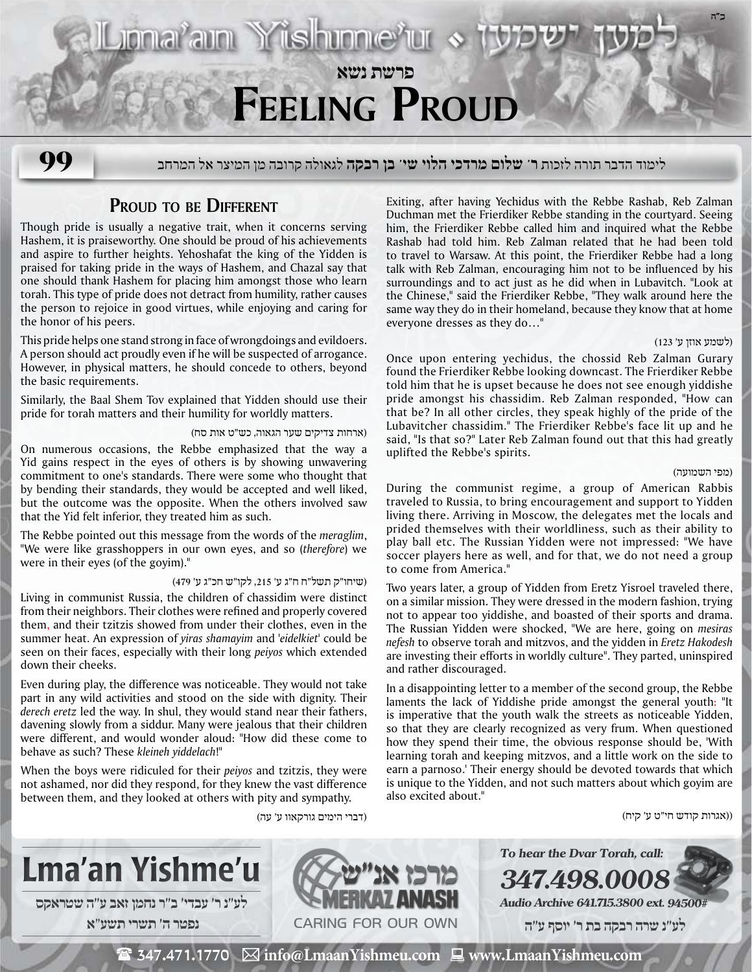

# **Proud to be Different**

Though pride is usually a negative trait, when it concerns serving Hashem, it is praiseworthy. One should be proud of his achievements and aspire to further heights. Yehoshafat the king of the Yidden is praised for taking pride in the ways of Hashem, and Chazal say that one should thank Hashem for placing him amongst those who learn torah. This type of pride does not detract from humility, rather causes the person to rejoice in good virtues, while enjoying and caring for the honor of his peers.

This pride helps one stand strong in face of wrongdoings and evildoers. A person should act proudly even if he will be suspected of arrogance. However, in physical matters, he should concede to others, beyond the basic requirements.

Similarly, the Baal Shem Tov explained that Yidden should use their pride for torah matters and their humility for worldly matters.

## (ארחות צדיקים שער הגאוה, כש"ט אות סח)

On numerous occasions, the Rebbe emphasized that the way a Yid gains respect in the eyes of others is by showing unwavering commitment to one's standards. There were some who thought that by bending their standards, they would be accepted and well liked, but the outcome was the opposite. When the others involved saw that the Yid felt inferior, they treated him as such.

The Rebbe pointed out this message from the words of the *meraglim*, "We were like grasshoppers in our own eyes, and so (*therefore*) we were in their eyes (of the goyim)."

# (שיחו"ק תשל"ח ח"ג ע' ,215 לקו"ש חכ"ג ע' 479)

Living in communist Russia, the children of chassidim were distinct from their neighbors. Their clothes were refined and properly covered them, and their tzitzis showed from under their clothes, even in the summer heat. An expression of *yiras shamayim* and *'eidelkiet'* could be seen on their faces, especially with their long *peiyos* which extended down their cheeks.

Even during play, the difference was noticeable. They would not take part in any wild activities and stood on the side with dignity. Their *derech eretz* led the way. In shul, they would stand near their fathers, davening slowly from a siddur. Many were jealous that their children were different, and would wonder aloud: "How did these come to behave as such? These *kleineh yiddelach*!"

When the boys were ridiculed for their *peiyos* and tzitzis, they were not ashamed, nor did they respond, for they knew the vast difference between them, and they looked at others with pity and sympathy.

Exiting, after having Yechidus with the Rebbe Rashab, Reb Zalman Duchman met the Frierdiker Rebbe standing in the courtyard. Seeing him, the Frierdiker Rebbe called him and inquired what the Rebbe Rashab had told him. Reb Zalman related that he had been told to travel to Warsaw. At this point, the Frierdiker Rebbe had a long talk with Reb Zalman, encouraging him not to be influenced by his surroundings and to act just as he did when in Lubavitch. "Look at the Chinese," said the Frierdiker Rebbe, "They walk around here the same way they do in their homeland, because they know that at home everyone dresses as they do…"

## (לשמע אוזן ע' 123)

Once upon entering yechidus, the chossid Reb Zalman Gurary found the Frierdiker Rebbe looking downcast. The Frierdiker Rebbe told him that he is upset because he does not see enough yiddishe pride amongst his chassidim. Reb Zalman responded, "How can that be? In all other circles, they speak highly of the pride of the Lubavitcher chassidim." The Frierdiker Rebbe's face lit up and he said, "Is that so?" Later Reb Zalman found out that this had greatly uplifted the Rebbe's spirits.

### (מפי השמועה)

During the communist regime, a group of American Rabbis traveled to Russia, to bring encouragement and support to Yidden living there. Arriving in Moscow, the delegates met the locals and prided themselves with their worldliness, such as their ability to play ball etc. The Russian Yidden were not impressed: "We have soccer players here as well, and for that, we do not need a group to come from America."

Two years later, a group of Yidden from Eretz Yisroel traveled there, on a similar mission. They were dressed in the modern fashion, trying not to appear too yiddishe, and boasted of their sports and drama. The Russian Yidden were shocked, "We are here, going on *mesiras nefesh* to observe torah and mitzvos, and the yidden in *Eretz Hakodesh* are investing their efforts in worldly culture". They parted, uninspired and rather discouraged.

In a disappointing letter to a member of the second group, the Rebbe laments the lack of Yiddishe pride amongst the general youth: "It is imperative that the youth walk the streets as noticeable Yidden, so that they are clearly recognized as very frum. When questioned how they spend their time, the obvious response should be, 'With learning torah and keeping mitzvos, and a little work on the side to earn a parnoso.' Their energy should be devoted towards that which is unique to the Yidden, and not such matters about which goyim are also excited about."

((אגרות קודש חי"ט ע' קיח)



(דברי הימים גורקאוו ע' עה)

**347.498.0008 Audio Archive 641.715.3800 ext. 94500# לע"נ שרה רבקה בת ר׳ יוסף ע"ה**

**To hear the Dvar Torah, call:**

 $\mathbf{\mathcal{F}}$  347.471.1770  $\ \boxtimes$  info@LmaanYishmeu.com  $\ \blacksquare$  www.LmaanYishmeu.com